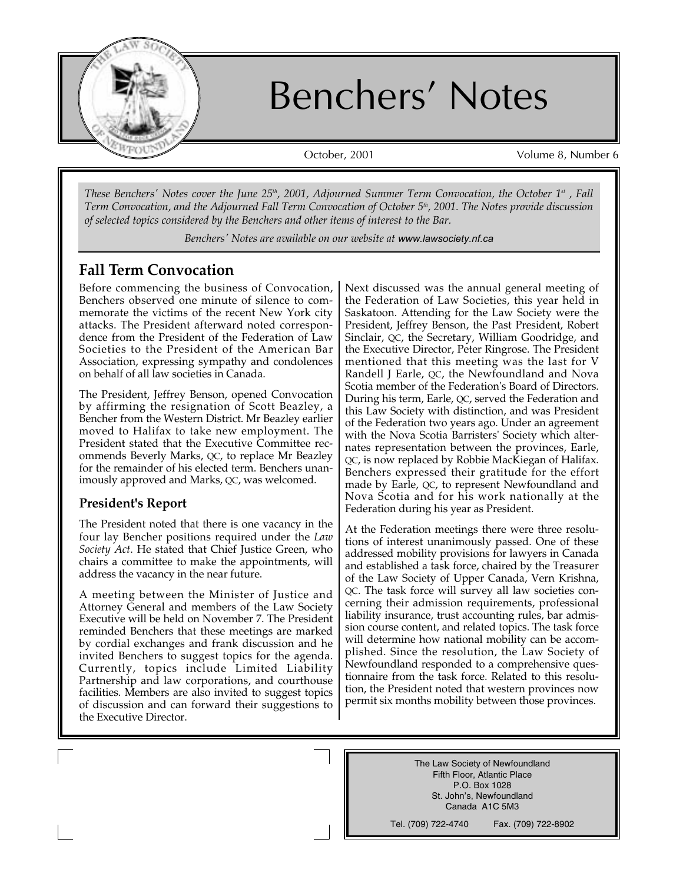

# Benchers' Notes

October, 2001 Volume 8, Number 6

*These Benchers' Notes cover the June 25<sup>th</sup>, 2001, Adjourned Summer Term Convocation, the October 1<sup>st</sup>, Fall Term Convocation, and the Adjourned Fall Term Convocation of October 5th, 2001. The Notes provide discussion of selected topics considered by the Benchers and other items of interest to the Bar.* 

*Benchers' Notes are available on our website at* www.lawsociety.nf.ca

### **Fall Term Convocation**

Before commencing the business of Convocation, Benchers observed one minute of silence to commemorate the victims of the recent New York city attacks. The President afterward noted correspondence from the President of the Federation of Law Societies to the President of the American Bar Association, expressing sympathy and condolences on behalf of all law societies in Canada.

The President, Jeffrey Benson, opened Convocation by affirming the resignation of Scott Beazley, a Bencher from the Western District. Mr Beazley earlier moved to Halifax to take new employment. The President stated that the Executive Committee recommends Beverly Marks, QC, to replace Mr Beazley for the remainder of his elected term. Benchers unanimously approved and Marks, QC, was welcomed.

### **President's Report**

The President noted that there is one vacancy in the four lay Bencher positions required under the *Law Society Act*. He stated that Chief Justice Green, who chairs a committee to make the appointments, will address the vacancy in the near future.

A meeting between the Minister of Justice and Attorney General and members of the Law Society Executive will be held on November 7. The President reminded Benchers that these meetings are marked by cordial exchanges and frank discussion and he invited Benchers to suggest topics for the agenda. Currently, topics include Limited Liability Partnership and law corporations, and courthouse facilities. Members are also invited to suggest topics of discussion and can forward their suggestions to the Executive Director.

Next discussed was the annual general meeting of the Federation of Law Societies, this year held in Saskatoon. Attending for the Law Society were the President, Jeffrey Benson, the Past President, Robert Sinclair, QC, the Secretary, William Goodridge, and the Executive Director, Peter Ringrose. The President mentioned that this meeting was the last for V Randell J Earle, QC, the Newfoundland and Nova Scotia member of the Federation's Board of Directors. During his term, Earle, QC, served the Federation and this Law Society with distinction, and was President of the Federation two years ago. Under an agreement with the Nova Scotia Barristers' Society which alternates representation between the provinces, Earle, QC, is now replaced by Robbie MacKiegan of Halifax. Benchers expressed their gratitude for the effort made by Earle, QC, to represent Newfoundland and Nova Scotia and for his work nationally at the Federation during his year as President.

At the Federation meetings there were three resolutions of interest unanimously passed. One of these addressed mobility provisions for lawyers in Canada and established a task force, chaired by the Treasurer of the Law Society of Upper Canada, Vern Krishna, QC. The task force will survey all law societies concerning their admission requirements, professional liability insurance, trust accounting rules, bar admission course content, and related topics. The task force will determine how national mobility can be accomplished. Since the resolution, the Law Society of Newfoundland responded to a comprehensive questionnaire from the task force. Related to this resolution, the President noted that western provinces now permit six months mobility between those provinces.

> The Law Society of Newfoundland Fifth Floor, Atlantic Place P.O. Box 1028 St. John's, Newfoundland Canada A1C 5M3

Tel. (709) 722-4740 Fax. (709) 722-8902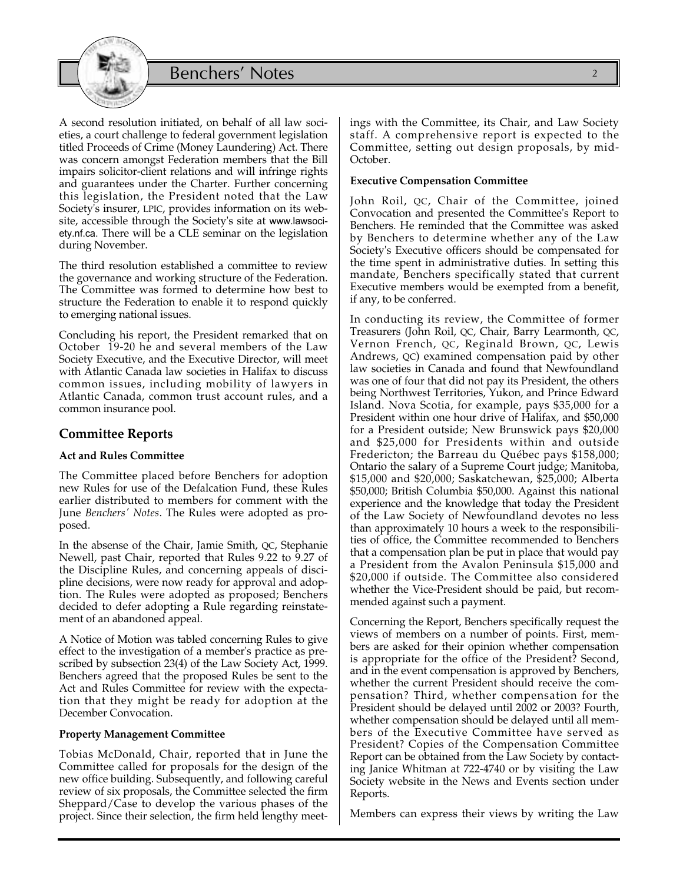

A second resolution initiated, on behalf of all law societies, a court challenge to federal government legislation titled Proceeds of Crime (Money Laundering) Act. There was concern amongst Federation members that the Bill impairs solicitor-client relations and will infringe rights and guarantees under the Charter. Further concerning this legislation, the President noted that the Law Society's insurer, LPIC, provides information on its website, accessible through the Society's site at www.lawsociety.nf.ca. There will be a CLE seminar on the legislation during November.

The third resolution established a committee to review the governance and working structure of the Federation. The Committee was formed to determine how best to structure the Federation to enable it to respond quickly to emerging national issues.

Concluding his report, the President remarked that on October 19-20 he and several members of the Law Society Executive, and the Executive Director, will meet with Atlantic Canada law societies in Halifax to discuss common issues, including mobility of lawyers in Atlantic Canada, common trust account rules, and a common insurance pool.

### **Committee Reports**

#### **Act and Rules Committee**

The Committee placed before Benchers for adoption new Rules for use of the Defalcation Fund, these Rules earlier distributed to members for comment with the June *Benchers' Notes*. The Rules were adopted as proposed.

In the absense of the Chair, Jamie Smith, QC, Stephanie Newell, past Chair, reported that Rules 9.22 to 9.27 of the Discipline Rules, and concerning appeals of discipline decisions, were now ready for approval and adoption. The Rules were adopted as proposed; Benchers decided to defer adopting a Rule regarding reinstatement of an abandoned appeal.

A Notice of Motion was tabled concerning Rules to give effect to the investigation of a member's practice as prescribed by subsection 23(4) of the Law Society Act, 1999. Benchers agreed that the proposed Rules be sent to the Act and Rules Committee for review with the expectation that they might be ready for adoption at the December Convocation.

#### **Property Management Committee**

Tobias McDonald, Chair, reported that in June the Committee called for proposals for the design of the new office building. Subsequently, and following careful review of six proposals, the Committee selected the firm Sheppard/Case to develop the various phases of the project. Since their selection, the firm held lengthy meetings with the Committee, its Chair, and Law Society staff. A comprehensive report is expected to the Committee, setting out design proposals, by mid-October.

#### **Executive Compensation Committee**

John Roil, QC, Chair of the Committee, joined Convocation and presented the Committee's Report to Benchers. He reminded that the Committee was asked by Benchers to determine whether any of the Law Society's Executive officers should be compensated for the time spent in administrative duties. In setting this mandate, Benchers specifically stated that current Executive members would be exempted from a benefit, if any, to be conferred.

In conducting its review, the Committee of former Treasurers (John Roil, QC, Chair, Barry Learmonth, QC, Vernon French, QC, Reginald Brown, QC, Lewis Andrews, QC) examined compensation paid by other law societies in Canada and found that Newfoundland was one of four that did not pay its President, the others being Northwest Territories, Yukon, and Prince Edward Island. Nova Scotia, for example, pays \$35,000 for a President within one hour drive of Halifax, and \$50,000 for a President outside; New Brunswick pays \$20,000 and \$25,000 for Presidents within and outside Fredericton; the Barreau du Québec pays \$158,000; Ontario the salary of a Supreme Court judge; Manitoba, \$15,000 and \$20,000; Saskatchewan, \$25,000; Alberta \$50,000; British Columbia \$50,000. Against this national experience and the knowledge that today the President of the Law Society of Newfoundland devotes no less than approximately 10 hours a week to the responsibilities of office, the Committee recommended to Benchers that a compensation plan be put in place that would pay a President from the Avalon Peninsula \$15,000 and \$20,000 if outside. The Committee also considered whether the Vice-President should be paid, but recommended against such a payment.

Concerning the Report, Benchers specifically request the views of members on a number of points. First, members are asked for their opinion whether compensation is appropriate for the office of the President? Second, and in the event compensation is approved by Benchers, whether the current President should receive the compensation? Third, whether compensation for the President should be delayed until 2002 or 2003? Fourth, whether compensation should be delayed until all members of the Executive Committee have served as President? Copies of the Compensation Committee Report can be obtained from the Law Society by contacting Janice Whitman at 722-4740 or by visiting the Law Society website in the News and Events section under Reports.

Members can express their views by writing the Law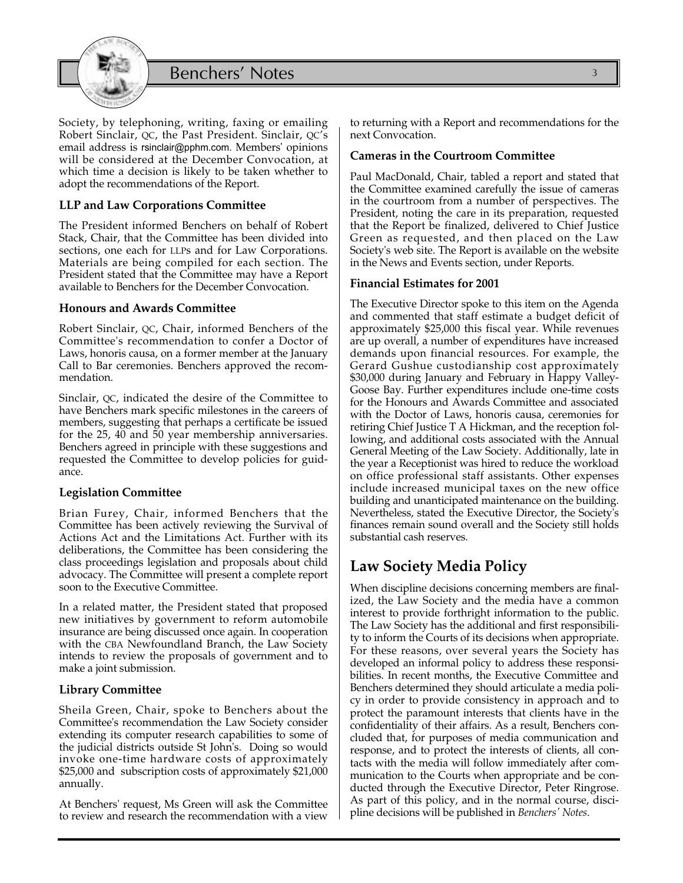



Society, by telephoning, writing, faxing or emailing Robert Sinclair, QC, the Past President. Sinclair, QC's email address is rsinclair@pphm.com. Members' opinions will be considered at the December Convocation, at which time a decision is likely to be taken whether to adopt the recommendations of the Report.

### **LLP and Law Corporations Committee**

The President informed Benchers on behalf of Robert Stack, Chair, that the Committee has been divided into sections, one each for LLPs and for Law Corporations. Materials are being compiled for each section. The President stated that the Committee may have a Report available to Benchers for the December Convocation.

#### **Honours and Awards Committee**

Robert Sinclair, QC, Chair, informed Benchers of the Committee's recommendation to confer a Doctor of Laws, honoris causa, on a former member at the January Call to Bar ceremonies. Benchers approved the recommendation.

Sinclair, QC, indicated the desire of the Committee to have Benchers mark specific milestones in the careers of members, suggesting that perhaps a certificate be issued for the 25, 40 and 50 year membership anniversaries. Benchers agreed in principle with these suggestions and requested the Committee to develop policies for guidance.

#### **Legislation Committee**

Brian Furey, Chair, informed Benchers that the Committee has been actively reviewing the Survival of Actions Act and the Limitations Act. Further with its deliberations, the Committee has been considering the class proceedings legislation and proposals about child advocacy. The Committee will present a complete report soon to the Executive Committee.

In a related matter, the President stated that proposed new initiatives by government to reform automobile insurance are being discussed once again. In cooperation with the CBA Newfoundland Branch, the Law Society intends to review the proposals of government and to make a joint submission.

#### **Library Committee**

Sheila Green, Chair, spoke to Benchers about the Committee's recommendation the Law Society consider extending its computer research capabilities to some of the judicial districts outside St John's. Doing so would invoke one-time hardware costs of approximately \$25,000 and subscription costs of approximately \$21,000 annually.

At Benchers' request, Ms Green will ask the Committee to review and research the recommendation with a view

to returning with a Report and recommendations for the next Convocation.

#### **Cameras in the Courtroom Committee**

Paul MacDonald, Chair, tabled a report and stated that the Committee examined carefully the issue of cameras in the courtroom from a number of perspectives. The President, noting the care in its preparation, requested that the Report be finalized, delivered to Chief Justice Green as requested, and then placed on the Law Society's web site. The Report is available on the website in the News and Events section, under Reports.

#### **Financial Estimates for 2001**

The Executive Director spoke to this item on the Agenda and commented that staff estimate a budget deficit of approximately \$25,000 this fiscal year. While revenues are up overall, a number of expenditures have increased demands upon financial resources. For example, the Gerard Gushue custodianship cost approximately \$30,000 during January and February in Happy Valley-Goose Bay. Further expenditures include one-time costs for the Honours and Awards Committee and associated with the Doctor of Laws, honoris causa, ceremonies for retiring Chief Justice T A Hickman, and the reception following, and additional costs associated with the Annual General Meeting of the Law Society. Additionally, late in the year a Receptionist was hired to reduce the workload on office professional staff assistants. Other expenses include increased municipal taxes on the new office building and unanticipated maintenance on the building. Nevertheless, stated the Executive Director, the Society's finances remain sound overall and the Society still holds substantial cash reserves.

### **Law Society Media Policy**

When discipline decisions concerning members are finalized, the Law Society and the media have a common interest to provide forthright information to the public. The Law Society has the additional and first responsibility to inform the Courts of its decisions when appropriate. For these reasons, over several years the Society has developed an informal policy to address these responsibilities. In recent months, the Executive Committee and Benchers determined they should articulate a media policy in order to provide consistency in approach and to protect the paramount interests that clients have in the confidentiality of their affairs. As a result, Benchers concluded that, for purposes of media communication and response, and to protect the interests of clients, all contacts with the media will follow immediately after communication to the Courts when appropriate and be conducted through the Executive Director, Peter Ringrose. As part of this policy, and in the normal course, discipline decisions will be published in *Benchers' Notes*.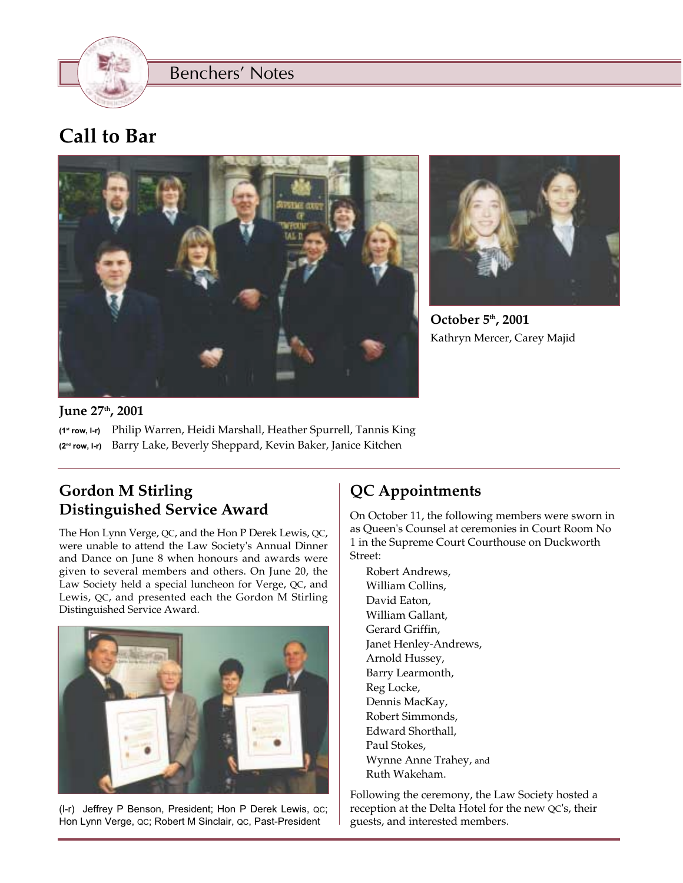

Benchers' Notes

# **Call to Bar**





**October 5th, 2001** Kathryn Mercer, Carey Majid

### **June 27th, 2001**

(1st row, l-r) Philip Warren, Heidi Marshall, Heather Spurrell, Tannis King (2nd row, l-r) Barry Lake, Beverly Sheppard, Kevin Baker, Janice Kitchen

### **Gordon M Stirling Distinguished Service Award**

The Hon Lynn Verge, QC, and the Hon P Derek Lewis, QC, were unable to attend the Law Society's Annual Dinner and Dance on June 8 when honours and awards were given to several members and others. On June 20, the Law Society held a special luncheon for Verge, QC, and Lewis, QC, and presented each the Gordon M Stirling Distinguished Service Award.



(l-r) Jeffrey P Benson, President; Hon P Derek Lewis, QC; Hon Lynn Verge, QC; Robert M Sinclair, QC, Past-President

### **QC Appointments**

On October 11, the following members were sworn in as Queen's Counsel at ceremonies in Court Room No 1 in the Supreme Court Courthouse on Duckworth Street:

Robert Andrews, William Collins, David Eaton, William Gallant, Gerard Griffin, Janet Henley-Andrews, Arnold Hussey, Barry Learmonth, Reg Locke, Dennis MacKay, Robert Simmonds, Edward Shorthall, Paul Stokes, Wynne Anne Trahey, and Ruth Wakeham.

Following the ceremony, the Law Society hosted a reception at the Delta Hotel for the new QC's, their guests, and interested members.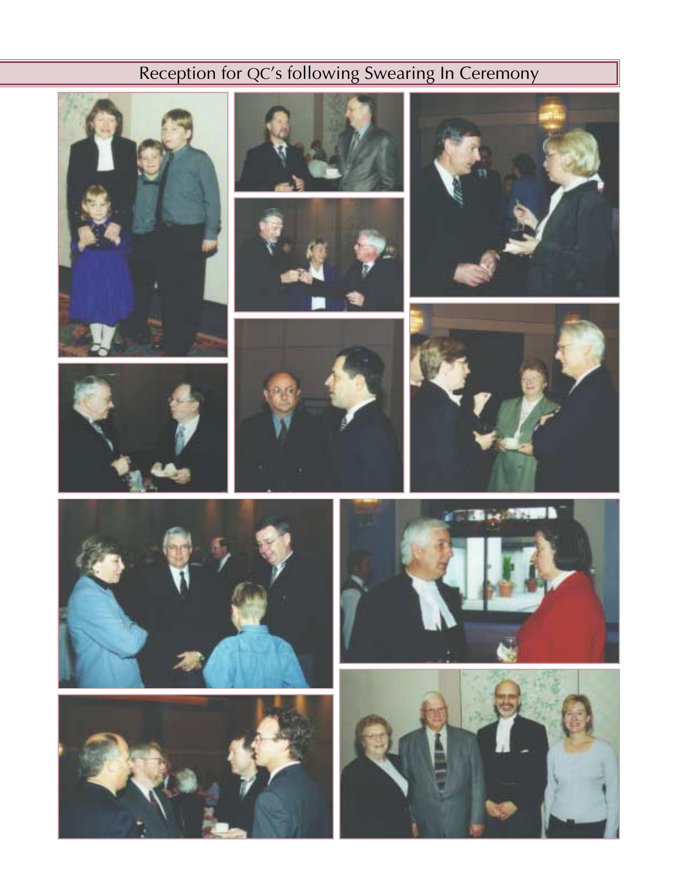# Reception for QC's following Swearing In Ceremony

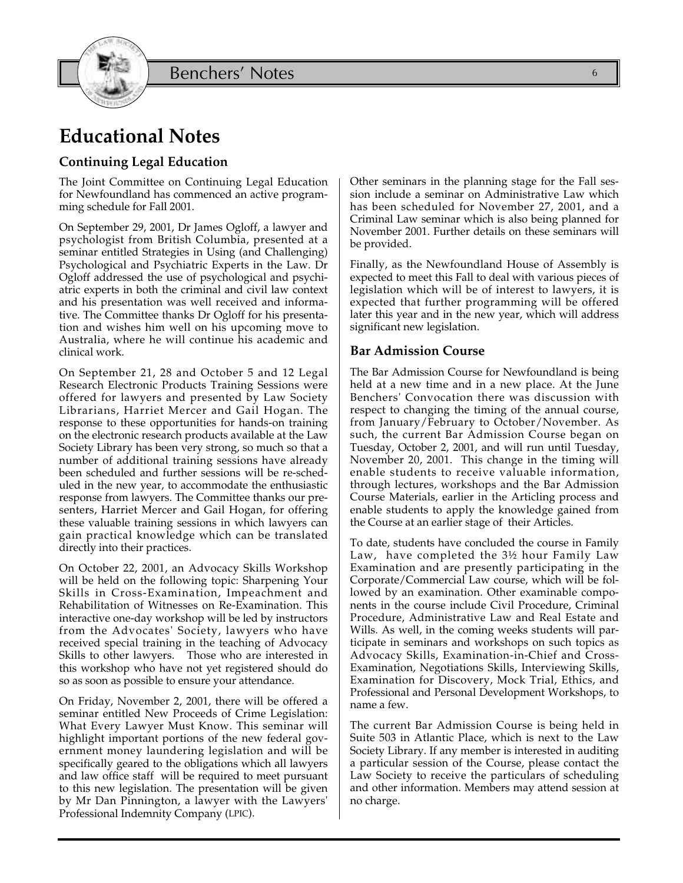Benchers' Notes



### **Continuing Legal Education**

The Joint Committee on Continuing Legal Education for Newfoundland has commenced an active programming schedule for Fall 2001.

On September 29, 2001, Dr James Ogloff, a lawyer and psychologist from British Columbia, presented at a seminar entitled Strategies in Using (and Challenging) Psychological and Psychiatric Experts in the Law. Dr Ogloff addressed the use of psychological and psychiatric experts in both the criminal and civil law context and his presentation was well received and informative. The Committee thanks Dr Ogloff for his presentation and wishes him well on his upcoming move to Australia, where he will continue his academic and clinical work.

On September 21, 28 and October 5 and 12 Legal Research Electronic Products Training Sessions were offered for lawyers and presented by Law Society Librarians, Harriet Mercer and Gail Hogan. The response to these opportunities for hands-on training on the electronic research products available at the Law Society Library has been very strong, so much so that a number of additional training sessions have already been scheduled and further sessions will be re-scheduled in the new year, to accommodate the enthusiastic response from lawyers. The Committee thanks our presenters, Harriet Mercer and Gail Hogan, for offering these valuable training sessions in which lawyers can gain practical knowledge which can be translated directly into their practices.

On October 22, 2001, an Advocacy Skills Workshop will be held on the following topic: Sharpening Your Skills in Cross-Examination, Impeachment and Rehabilitation of Witnesses on Re-Examination. This interactive one-day workshop will be led by instructors from the Advocates' Society, lawyers who have received special training in the teaching of Advocacy Skills to other lawyers. Those who are interested in this workshop who have not yet registered should do so as soon as possible to ensure your attendance.

On Friday, November 2, 2001, there will be offered a seminar entitled New Proceeds of Crime Legislation: What Every Lawyer Must Know. This seminar will highlight important portions of the new federal government money laundering legislation and will be specifically geared to the obligations which all lawyers and law office staff will be required to meet pursuant to this new legislation. The presentation will be given by Mr Dan Pinnington, a lawyer with the Lawyers' Professional Indemnity Company (LPIC).

Other seminars in the planning stage for the Fall session include a seminar on Administrative Law which has been scheduled for November 27, 2001, and a Criminal Law seminar which is also being planned for November 2001. Further details on these seminars will be provided.

Finally, as the Newfoundland House of Assembly is expected to meet this Fall to deal with various pieces of legislation which will be of interest to lawyers, it is expected that further programming will be offered later this year and in the new year, which will address significant new legislation.

### **Bar Admission Course**

The Bar Admission Course for Newfoundland is being held at a new time and in a new place. At the June Benchers' Convocation there was discussion with respect to changing the timing of the annual course, from January/February to October/November. As such, the current Bar Admission Course began on Tuesday, October 2, 2001, and will run until Tuesday, November 20, 2001. This change in the timing will enable students to receive valuable information, through lectures, workshops and the Bar Admission Course Materials, earlier in the Articling process and enable students to apply the knowledge gained from the Course at an earlier stage of their Articles.

To date, students have concluded the course in Family Law, have completed the 3½ hour Family Law Examination and are presently participating in the Corporate/Commercial Law course, which will be followed by an examination. Other examinable components in the course include Civil Procedure, Criminal Procedure, Administrative Law and Real Estate and Wills. As well, in the coming weeks students will participate in seminars and workshops on such topics as Advocacy Skills, Examination-in-Chief and Cross-Examination, Negotiations Skills, Interviewing Skills, Examination for Discovery, Mock Trial, Ethics, and Professional and Personal Development Workshops, to name a few.

The current Bar Admission Course is being held in Suite 503 in Atlantic Place, which is next to the Law Society Library. If any member is interested in auditing a particular session of the Course, please contact the Law Society to receive the particulars of scheduling and other information. Members may attend session at no charge.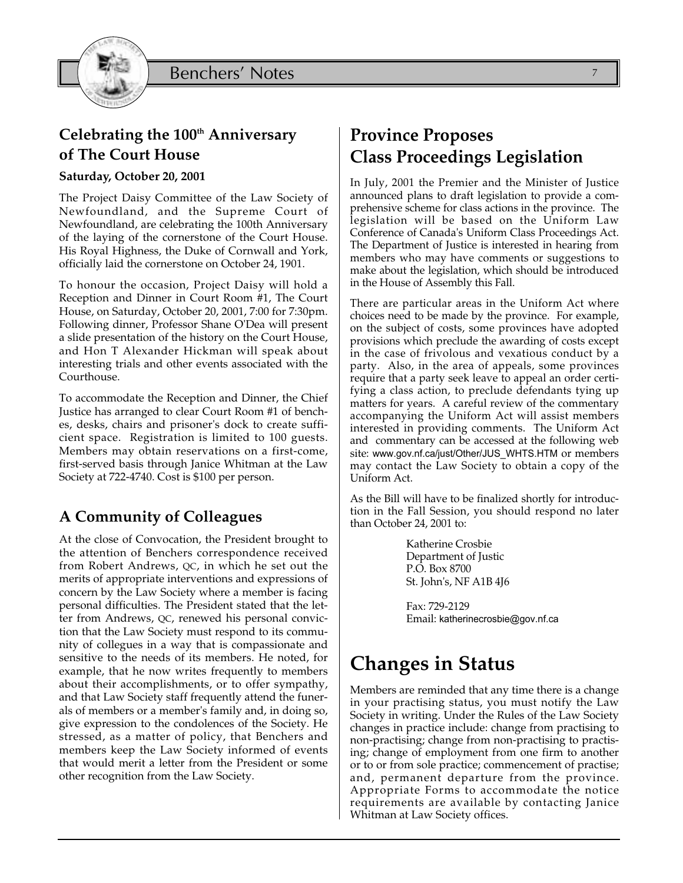

### **Celebrating the 100th Anniversary of The Court House**

### **Saturday, October 20, 2001**

The Project Daisy Committee of the Law Society of Newfoundland, and the Supreme Court of Newfoundland, are celebrating the 100th Anniversary of the laying of the cornerstone of the Court House. His Royal Highness, the Duke of Cornwall and York, officially laid the cornerstone on October 24, 1901.

To honour the occasion, Project Daisy will hold a Reception and Dinner in Court Room #1, The Court House, on Saturday, October 20, 2001, 7:00 for 7:30pm. Following dinner, Professor Shane O'Dea will present a slide presentation of the history on the Court House, and Hon T Alexander Hickman will speak about interesting trials and other events associated with the Courthouse.

To accommodate the Reception and Dinner, the Chief Justice has arranged to clear Court Room #1 of benches, desks, chairs and prisoner's dock to create sufficient space. Registration is limited to 100 guests. Members may obtain reservations on a first-come, first-served basis through Janice Whitman at the Law Society at 722-4740. Cost is \$100 per person.

### **A Community of Colleagues**

At the close of Convocation, the President brought to the attention of Benchers correspondence received from Robert Andrews, QC, in which he set out the merits of appropriate interventions and expressions of concern by the Law Society where a member is facing personal difficulties. The President stated that the letter from Andrews, QC, renewed his personal conviction that the Law Society must respond to its community of collegues in a way that is compassionate and sensitive to the needs of its members. He noted, for example, that he now writes frequently to members about their accomplishments, or to offer sympathy, and that Law Society staff frequently attend the funerals of members or a member's family and, in doing so, give expression to the condolences of the Society. He stressed, as a matter of policy, that Benchers and members keep the Law Society informed of events that would merit a letter from the President or some other recognition from the Law Society.

### **Province Proposes Class Proceedings Legislation**

In July, 2001 the Premier and the Minister of Justice announced plans to draft legislation to provide a comprehensive scheme for class actions in the province. The legislation will be based on the Uniform Law Conference of Canada's Uniform Class Proceedings Act. The Department of Justice is interested in hearing from members who may have comments or suggestions to make about the legislation, which should be introduced in the House of Assembly this Fall.

There are particular areas in the Uniform Act where choices need to be made by the province. For example, on the subject of costs, some provinces have adopted provisions which preclude the awarding of costs except in the case of frivolous and vexatious conduct by a party. Also, in the area of appeals, some provinces require that a party seek leave to appeal an order certifying a class action, to preclude defendants tying up matters for years. A careful review of the commentary accompanying the Uniform Act will assist members interested in providing comments. The Uniform Act and commentary can be accessed at the following web site: www.gov.nf.ca/just/Other/JUS\_WHTS.HTM or members may contact the Law Society to obtain a copy of the Uniform Act.

As the Bill will have to be finalized shortly for introduction in the Fall Session, you should respond no later than October 24, 2001 to:

> Katherine Crosbie Department of Justic P.O. Box 8700 St. John's, NF A1B 4J6

Fax: 729-2129 Email: katherinecrosbie@gov.nf.ca

# **Changes in Status**

Members are reminded that any time there is a change in your practising status, you must notify the Law Society in writing. Under the Rules of the Law Society changes in practice include: change from practising to non-practising; change from non-practising to practising; change of employment from one firm to another or to or from sole practice; commencement of practise; and, permanent departure from the province. Appropriate Forms to accommodate the notice requirements are available by contacting Janice Whitman at Law Society offices.